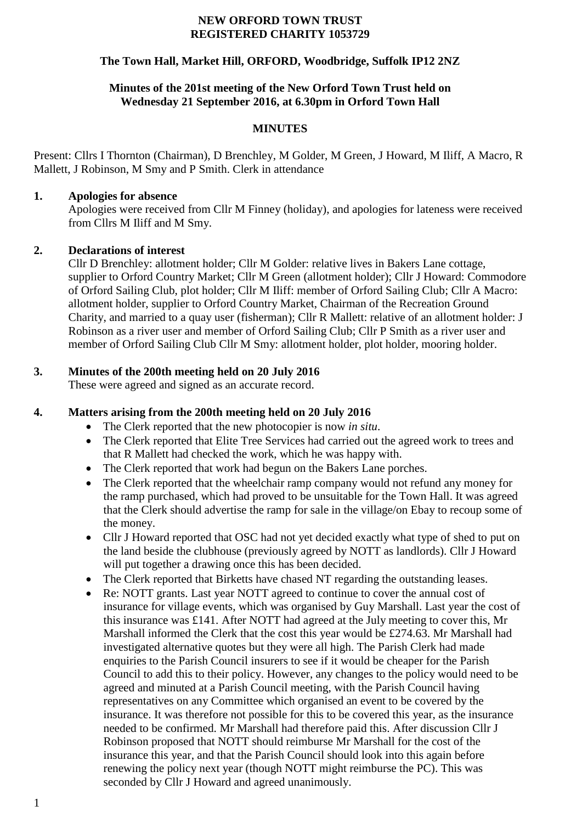#### **NEW ORFORD TOWN TRUST REGISTERED CHARITY 1053729**

### **The Town Hall, Market Hill, ORFORD, Woodbridge, Suffolk IP12 2NZ**

### **Minutes of the 201st meeting of the New Orford Town Trust held on Wednesday 21 September 2016, at 6.30pm in Orford Town Hall**

### **MINUTES**

Present: Cllrs I Thornton (Chairman), D Brenchley, M Golder, M Green, J Howard, M Iliff, A Macro, R Mallett, J Robinson, M Smy and P Smith. Clerk in attendance

### **1. Apologies for absence**

Apologies were received from Cllr M Finney (holiday), and apologies for lateness were received from Cllrs M Iliff and M Smy.

### **2. Declarations of interest**

Cllr D Brenchley: allotment holder; Cllr M Golder: relative lives in Bakers Lane cottage, supplier to Orford Country Market; Cllr M Green (allotment holder); Cllr J Howard: Commodore of Orford Sailing Club, plot holder; Cllr M Iliff: member of Orford Sailing Club; Cllr A Macro: allotment holder, supplier to Orford Country Market, Chairman of the Recreation Ground Charity, and married to a quay user (fisherman); Cllr R Mallett: relative of an allotment holder: J Robinson as a river user and member of Orford Sailing Club; Cllr P Smith as a river user and member of Orford Sailing Club Cllr M Smy: allotment holder, plot holder, mooring holder.

## **3. Minutes of the 200th meeting held on 20 July 2016**

These were agreed and signed as an accurate record.

### **4. Matters arising from the 200th meeting held on 20 July 2016**

- The Clerk reported that the new photocopier is now *in situ*.
- The Clerk reported that Elite Tree Services had carried out the agreed work to trees and that R Mallett had checked the work, which he was happy with.
- The Clerk reported that work had begun on the Bakers Lane porches.
- The Clerk reported that the wheelchair ramp company would not refund any money for the ramp purchased, which had proved to be unsuitable for the Town Hall. It was agreed that the Clerk should advertise the ramp for sale in the village/on Ebay to recoup some of the money.
- Cllr J Howard reported that OSC had not yet decided exactly what type of shed to put on the land beside the clubhouse (previously agreed by NOTT as landlords). Cllr J Howard will put together a drawing once this has been decided.
- The Clerk reported that Birketts have chased NT regarding the outstanding leases.
- Re: NOTT grants. Last year NOTT agreed to continue to cover the annual cost of insurance for village events, which was organised by Guy Marshall. Last year the cost of this insurance was £141. After NOTT had agreed at the July meeting to cover this, Mr Marshall informed the Clerk that the cost this year would be £274.63. Mr Marshall had investigated alternative quotes but they were all high. The Parish Clerk had made enquiries to the Parish Council insurers to see if it would be cheaper for the Parish Council to add this to their policy. However, any changes to the policy would need to be agreed and minuted at a Parish Council meeting, with the Parish Council having representatives on any Committee which organised an event to be covered by the insurance. It was therefore not possible for this to be covered this year, as the insurance needed to be confirmed. Mr Marshall had therefore paid this. After discussion Cllr J Robinson proposed that NOTT should reimburse Mr Marshall for the cost of the insurance this year, and that the Parish Council should look into this again before renewing the policy next year (though NOTT might reimburse the PC). This was seconded by Cllr J Howard and agreed unanimously.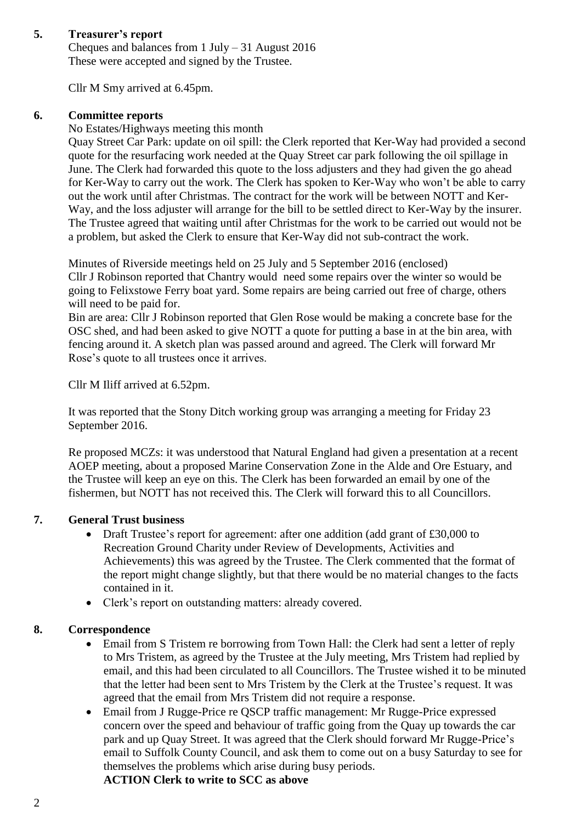# **5. Treasurer's report**

Cheques and balances from 1 July – 31 August 2016 These were accepted and signed by the Trustee.

Cllr M Smy arrived at 6.45pm.

## **6. Committee reports**

No Estates/Highways meeting this month

Quay Street Car Park: update on oil spill: the Clerk reported that Ker-Way had provided a second quote for the resurfacing work needed at the Quay Street car park following the oil spillage in June. The Clerk had forwarded this quote to the loss adjusters and they had given the go ahead for Ker-Way to carry out the work. The Clerk has spoken to Ker-Way who won't be able to carry out the work until after Christmas. The contract for the work will be between NOTT and Ker-Way, and the loss adjuster will arrange for the bill to be settled direct to Ker-Way by the insurer. The Trustee agreed that waiting until after Christmas for the work to be carried out would not be a problem, but asked the Clerk to ensure that Ker-Way did not sub-contract the work.

Minutes of Riverside meetings held on 25 July and 5 September 2016 (enclosed) Cllr J Robinson reported that Chantry would need some repairs over the winter so would be going to Felixstowe Ferry boat yard. Some repairs are being carried out free of charge, others will need to be paid for.

Bin are area: Cllr J Robinson reported that Glen Rose would be making a concrete base for the OSC shed, and had been asked to give NOTT a quote for putting a base in at the bin area, with fencing around it. A sketch plan was passed around and agreed. The Clerk will forward Mr Rose's quote to all trustees once it arrives.

Cllr M Iliff arrived at 6.52pm.

It was reported that the Stony Ditch working group was arranging a meeting for Friday 23 September 2016.

Re proposed MCZs: it was understood that Natural England had given a presentation at a recent AOEP meeting, about a proposed Marine Conservation Zone in the Alde and Ore Estuary, and the Trustee will keep an eye on this. The Clerk has been forwarded an email by one of the fishermen, but NOTT has not received this. The Clerk will forward this to all Councillors.

## **7. General Trust business**

- Draft Trustee's report for agreement: after one addition (add grant of £30,000 to Recreation Ground Charity under Review of Developments, Activities and Achievements) this was agreed by the Trustee. The Clerk commented that the format of the report might change slightly, but that there would be no material changes to the facts contained in it.
- Clerk's report on outstanding matters: already covered.

## **8. Correspondence**

- Email from S Tristem re borrowing from Town Hall: the Clerk had sent a letter of reply to Mrs Tristem, as agreed by the Trustee at the July meeting, Mrs Tristem had replied by email, and this had been circulated to all Councillors. The Trustee wished it to be minuted that the letter had been sent to Mrs Tristem by the Clerk at the Trustee's request. It was agreed that the email from Mrs Tristem did not require a response.
- Email from J Rugge-Price re QSCP traffic management: Mr Rugge-Price expressed concern over the speed and behaviour of traffic going from the Quay up towards the car park and up Quay Street. It was agreed that the Clerk should forward Mr Rugge-Price's email to Suffolk County Council, and ask them to come out on a busy Saturday to see for themselves the problems which arise during busy periods.

**ACTION Clerk to write to SCC as above**